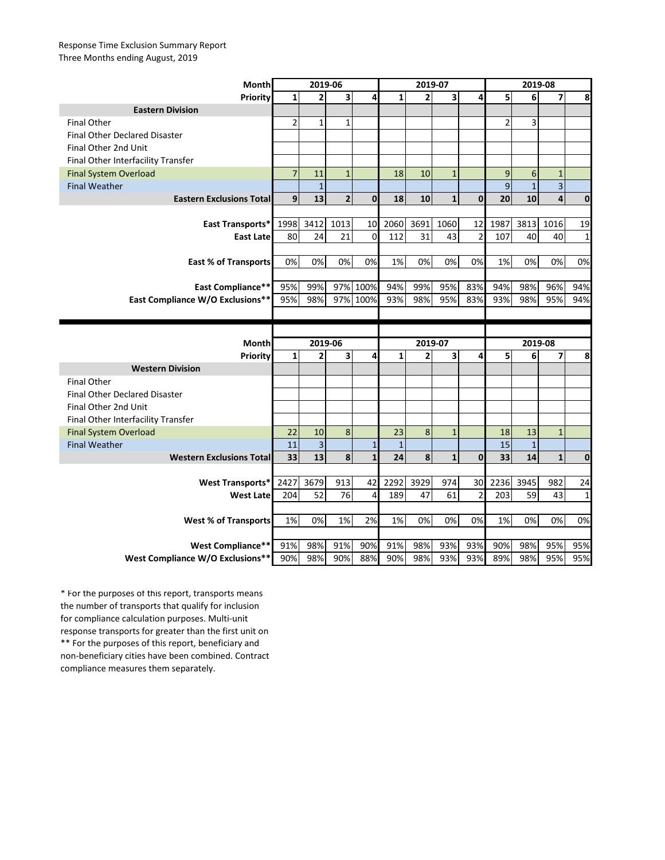## Response Time Exclusion Summary Report Three Months ending August, 2019

| <b>Month</b>                               | 2019-06 |                               |                |              | 2019-07 |                           |                |                 | 2019-08        |                           |                         |             |
|--------------------------------------------|---------|-------------------------------|----------------|--------------|---------|---------------------------|----------------|-----------------|----------------|---------------------------|-------------------------|-------------|
| <b>Priority</b>                            | 1       | 2                             | 3              | 4            | 1       | $\overline{2}$            | 3 <sup>1</sup> | 4               | 5              | 6                         | 7                       | 8           |
| <b>Eastern Division</b>                    |         |                               |                |              |         |                           |                |                 |                |                           |                         |             |
| <b>Final Other</b>                         | 2       | $\mathbf{1}$                  | $\mathbf{1}$   |              |         |                           |                |                 | $\overline{2}$ | 3                         |                         |             |
| <b>Final Other Declared Disaster</b>       |         |                               |                |              |         |                           |                |                 |                |                           |                         |             |
| Final Other 2nd Unit                       |         |                               |                |              |         |                           |                |                 |                |                           |                         |             |
| Final Other Interfacility Transfer         |         |                               |                |              |         |                           |                |                 |                |                           |                         |             |
| <b>Final System Overload</b>               | 7       | 11                            | $\mathbf{1}$   |              | 18      | 10                        | $\mathbf{1}$   |                 | 9              | 6                         | $\mathbf{1}$            |             |
| <b>Final Weather</b>                       |         | $\mathbf{1}$                  |                |              |         |                           |                |                 | 9              | $\mathbf{1}$              | $\overline{\mathbf{3}}$ |             |
| <b>Eastern Exclusions Total</b>            | 9       | 13                            | 2 <sup>1</sup> | $\mathbf{0}$ | 18      | 10                        | $\mathbf{1}$   | 0               | 20             | 10                        | $\overline{\mathbf{4}}$ | $\mathbf 0$ |
|                                            |         |                               |                |              |         |                           |                |                 |                |                           |                         |             |
| <b>East Transports*</b>                    | 1998    | 3412                          | 1013           | 10           | 2060    | 3691                      | 1060           | 12              | 1987           | 3813                      | 1016                    | 19          |
| <b>East Latel</b>                          | 80      | 24                            | 21             | $\Omega$     | 112     | 31                        | 43             | 2               | 107            | 40                        | 40                      | $\mathbf 1$ |
|                                            |         |                               |                |              |         |                           |                |                 |                |                           |                         |             |
| <b>East % of Transports</b>                | 0%      | 0%                            | 0%             | 0%           | 1%      | 0%                        | 0%             | 0%              | 1%             | 0%                        | 0%                      | 0%          |
|                                            |         |                               |                |              |         |                           |                |                 |                |                           |                         |             |
| <b>East Compliance**</b>                   | 95%     | 99%                           | 97%            | 100%         | 94%     | 99%                       | 95%            | 83%             | 94%            | 98%                       | 96%                     | 94%         |
| East Compliance W/O Exclusions**           | 95%     | 98%                           |                | 97% 100%     | 93%     | 98%                       | 95%            | 83%             | 93%            | 98%                       | 95%                     | 94%         |
|                                            |         |                               |                |              |         |                           |                |                 |                |                           |                         |             |
|                                            |         |                               |                |              |         |                           |                |                 |                |                           |                         |             |
|                                            |         |                               |                |              |         |                           |                |                 |                |                           |                         |             |
| <b>Month</b>                               |         | 2019-06                       |                |              |         |                           |                |                 |                | 2019-08                   |                         |             |
|                                            | 1       | 2                             | 3              | 4            | 1       | 2019-07<br>$\overline{2}$ | 3              | 4               | 5              | 6                         | $\overline{\mathbf{z}}$ | 8           |
| <b>Priority</b><br><b>Western Division</b> |         |                               |                |              |         |                           |                |                 |                |                           |                         |             |
| <b>Final Other</b>                         |         |                               |                |              |         |                           |                |                 |                |                           |                         |             |
| <b>Final Other Declared Disaster</b>       |         |                               |                |              |         |                           |                |                 |                |                           |                         |             |
| Final Other 2nd Unit                       |         |                               |                |              |         |                           |                |                 |                |                           |                         |             |
| Final Other Interfacility Transfer         |         |                               |                |              |         |                           |                |                 |                |                           |                         |             |
| <b>Final System Overload</b>               | 22      | 10                            | 8              |              | 23      | 8                         | $\mathbf{1}$   |                 | 18             | 13                        | $\mathbf{1}$            |             |
| <b>Final Weather</b>                       | 11      | $\overline{\phantom{0}}$<br>3 |                |              |         |                           |                |                 | 15             | $\blacktriangleleft$<br>Ŧ |                         |             |
| <b>Western Exclusions Total</b>            | 33      | 13                            | 8 <sup>1</sup> | $\mathbf{1}$ | 24      | 8                         | $\mathbf{1}$   | 0               | 33             | 14                        | $\mathbf{1}$            | $\mathbf 0$ |
|                                            |         |                               |                |              |         |                           |                |                 |                |                           |                         |             |
| <b>West Transports*</b>                    | 2427    | 3679                          | 913            | 42           | 2292    | 3929                      | 974            | 30 <sup>1</sup> | 2236           | 3945                      | 982                     | 24          |
| <b>West Late</b>                           | 204     | 52                            | 76             | 4            | 189     | 47                        | 61             | 2               | 203            | 59                        | 43                      | $\mathbf 1$ |
|                                            |         |                               |                |              |         |                           |                |                 |                |                           |                         |             |
| <b>West % of Transports</b>                | 1%      | 0%                            | 1%             | 2%           | 1%      | 0%                        | 0%             | 0%              | 1%             | 0%                        | 0%                      | 0%          |
|                                            |         |                               |                |              |         |                           |                |                 |                |                           |                         |             |
| <b>West Compliance**</b>                   | 91%     | 98%                           | 91%            | 90%          | 91%     | 98%                       | 93%            | 93%             | 90%            | 98%                       | 95%                     | 95%         |

\*\* For the purposes of this report, beneficiary and non-beneficiary cities have been combined. Contract compliance measures them separately. \* For the purposes of this report, transports means the number of transports that qualify for inclusion for compliance calculation purposes. Multi-unit response transports for greater than the first unit on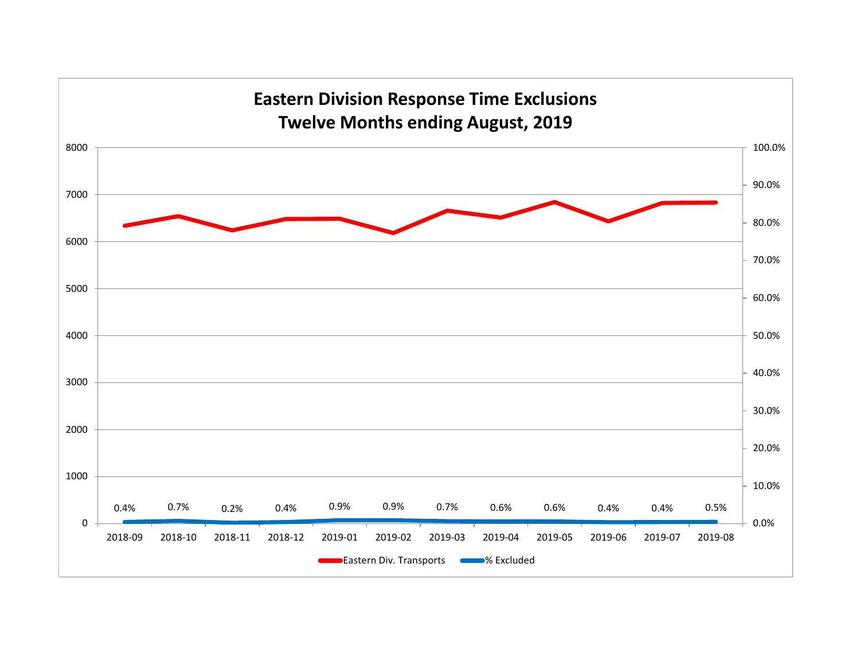